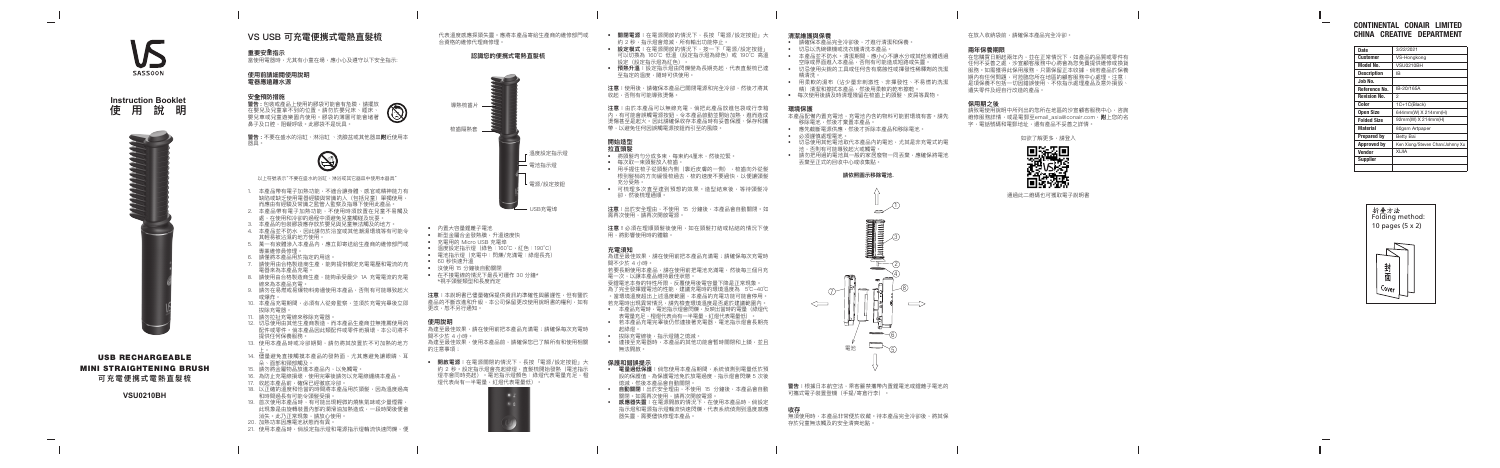## **VS USB 可充電便㩗式電熱直髮梳**

**重要安 全指示**

當使用電器時,尤其有小童在場,應小心及遵守以下安全指示:

### **使用前請細閱使用說明 電器應遠離水源**

### **安全預防措施**

- 1. 本產品帶有電子加熱功能,不適合讓身體、感官或精神能力有 缺陷或缺乏使用電器經驗與常識的人(包括兒童)單獨使用 而應由有經驗及常識之監管人監察及指導下使用此產品。
- 2. 本產品帶有電子加熱功能,不使用時須放置在兒童不易觸及
- 處,在使用和冷卻的過程中須避免兒童觸碰及玩耍。 3. 本產品的包裝膠袋應存放於嬰兒與兒童無法觸及的地方。
- 4. 本產品並不防水,因此請勿於浴室或其他潮濕環境等有可能令
- 其輕易被沾濕的地方使用。
- 5. 萬一有液體滲入本產品內,應立即寄送給生產商的維修部門 專業維修員修理。
- 6. 請僅將本產品用於指定的用途。
- 7. 請使用由合格製造商生產,能夠提供額定充電電壓和電流的充 電器來為本產品充電。
- 8. 請使用由合格製造商生產, 能夠承受最少 1A 充電電流的充電 線來為本產品充電。
- 9. 請勿在易燃或易爆物料旁邊使用本產品,否則有可能導致起火 或爆炸。
- 10. 本產品充電期間,必須有人從旁監察,並須於充電完畢後立即 拔除充電器。
- 11. 請勿拉扯充電線來移除充電器。
- 12. 切忌使用由其他生產商製造,而本產品生產商並無推薦使用的 配件或零件。倘本產品因此類配件或零件而損壞,本公司將不 提供任何保養服務。
- 13. 使用本產品時或冷卻期間,請勿將其放置於不可加熱的地方 上。
- 14. 儘量避免直接觸摸本產品的發熱面,尤其應避免讓眼睛、耳 朵、面部和頸部觸及。
- 15. 請勿將金屬物品放進本產品內,以免觸電。
- 16. 為防止充電線損壞,使用完畢後請勿以充電線纏繞本產品。
- 17. 收起本產品前,確保已經徹底冷卻。
- 18. 以正確的溫度和恰當的時間將本產品用於頭髮,因為溫度過高 和時間過長有可能令頭髮受損。
- 19. 首次使用本產品時,有可能出現輕微的燒焦氣味或少量煙霧 此現象是由旋轉裝置內部的潤滑油加熱造成,一段時間後便會 消失。此乃正常現象,請放心使用。
- 20. 加熱功率因應電池狀態而有異。
- 21. 使用本產品時,倘設定指示燈和電源指示燈輪流快速閃爍,便

**警告 :** 包裝或產品上使用的膠袋可能會有危險,請擺放 在嬰兒及兒童拿不到的位置。請勿於嬰兒床、睡床、 嬰兒車或兒童遊樂園內使用。膠袋的薄層可能會堵著 鼻子及口腔,阻礙呼吸。此膠袋不是玩具。

**警告 :** 不要在盛水的浴缸、淋浴缸 、洗臉盆或其他器皿 附近使用本 器具。



以上符號表示"不要在盛水的浴缸、淋浴或其它器皿中使用本器具"

可以切換為 160℃ 低溫(設定指示燈為綠色)或 190℃ 高溫 設定(設定指示燈為紅色)。

- 用手握住梳子從頭髮內側(靠近皮膚的一側),梳齒向外從髮 根到髮梢的方向緩慢梳過去,梳的速度不要過快,以便讓頭髮 充分受熱。
- 可梳理多次直至達到預想的效果。造型結束後,等待頭髮冷 卻,然後梳理通順。
- **注意:**出於安全理由,不使用 15 分鐘後,本產品會自動關閉。如 需再次使用,請再次開啟電源。

代表溫度感應探頭失靈。應將本產品寄給生產商的維修部門或 合資格的維修代理商修理。

> 為達至最佳效果,請在使用前把本產品充滿電;請確保每次充電時 間不少於 4 小時。

> 若要長期使用本產品,請在使用前把電池充滿電,然後每三個月充 電一次,以讓本產品維持最佳狀態

### **認識您的便㩗式電熱直髮梳**

• 連接至充電器時,本產品的其他功能會暫時關閉和上鎖,並且 無法開啟。



# $\frac{3}{4}$  $\rightarrow$ 8 7  $\Longleftarrow$  $\implies$  $\qquad \qquad \Longleftrightarrow$  $\frac{6}{5}$  $\Box$ 電池

無須使用時,本產品非常便於收藏。待本產品完全冷卻後,將其保 存於兒童無法觸及的安全清爽地點。

• **關閉電源:**在電源開啟的情況下,長按「電源/設定按鈕」大 約 2 秒,指示燈會熄滅,所有輸出功能停止。 • **設定模式:**在電源開啟的情況下,按一下「電源/設定按鈕」

• **預熱升溫:**設定指示燈由閃爍變為長期亮起,代表直髮梳已達 至指定的溫度,隨時可供使用。

**注意:**使用後,請確保本產品已關閉電源和完全冷卻,然後才將其 收起,否則有可能導致燙傷。

**注意:**由於本產品可以無線充電,倘把此產品放進包袋或行李箱 內,有可能會誤觸電源按鈕,令本產品啟動並開始加熱,進而造成 燙傷甚至是起火。因此請確保收存本產品時有妥善保護、保存和攜 帶,以避免任何因誤觸電源按鈕而引至的風險。

### **拉直頭髮**

• 將頭髮均勻分成多束,每束約4厘米,然後拉緊。 • 每次取一束頭髮放入梳齒。

**注意!**必須在理順頭髮後使用,如在頭髮打結或粘結的情況下使 用,將影響使用時的體驗。

### **充電須知**

- 受鋰電池本身的特性所限,反覆使用後電容量下降是正常現象。 為了完全發揮鋰電池的性能,建議充電時的環境溫度為 5℃-40℃ 。當環境溫度超出上述溫度範圍,本產品的充電功能可能會停用。 若充電時出現異常情況,請先檢查環境溫度是否處於建議範圍內。 • 本產品充電時,電池指示燈會閃爍,反映出當時的電量(綠燈代
- 表雷量充足,橙燈代表尚有—半雷量,紅燈代表雷量低) • 若本產品充電完畢後仍然連接著充電器,電池指示燈會長期亮 起綠燈。

• 拔除充電線後,指示燈隨之熄滅。

### **保護和錯誤提示**

• **電量過低保護:**倘您使用本產品期間,系統偵測到電量低於預 設的保護值,為保護電池免於放電過度,指示燈會閃爍 5 次後 熄滅,然後本產品會自動關閉。

• **自動關閉:**出於安全理由,不使用 15 分鐘後,本產品會自動 關閉。如需再次使用,請再次開啟電源。

• **感應器失靈:**在電源開啟的情況下,在使用本產品時,倘設定 指示燈和電源指示燈輪流快速閃爍,代表系統偵測到溫度感應 器失靈,需要儘快修理本產品。

### **清潔維護與保養**

- 請確保本產品完全冷卻後,才進行清潔和保養。
- 切忌以洗碗碟機或洗衣機清洗本產品。
- 本產品並不防水。清潔期間,應小心不讓水分或其他液體透過 空隙或界面進入本產品,否則有可能造成短路或失靈。
- 切忌使用尖銳的工具或任何含有腐蝕性或揮發性稀釋劑的洗潔 特法法。
- 用柔軟的濕布(沾少量非刺激性、非揮發性、不易燃的洗潔 精)清潔和擦拭本產品,然後用柔軟的乾布擦乾。
- 每次使用後請及時清理殘留在梳齒上的頭髮、皮屑等異物。

### **環境保護**

本產品配備內置充電池,充電池內含的物料可能對環境有害。請先 移除電池,然後才棄置本產品。

- 應先截斷電源供應,然後才拆除本產品和移除電池。
- 必須謹慎處理電池。
- 切忌使用其他電池取代本產品內的電池,尤其是非充電式的電 池,否則有可能導致起火或觸電。
- 請勿把用過的電池與一般的家居廢物一同丟棄,應確保將電池 丟棄至正式的回收中心或收集點。

### **請依照圖示移除電池.**

**警告:**根據日本航空法,乘客嚴禁攜帶內置鋰電池或鋰離子電池的 可攜式電子裝置登機(手提/寄倉行李)。

### **收存**

在放入收納袋前,請確保本產品完全冷卻。

### **兩年保養期限**

在您購買日期起兩年內,並在正常情況下,如產品的品質或零件有 任何不妥善之處,沙宣顧客服務中心將會為您免費提供維修或換貨 服務。如需獲得此保用服務,只需保留正本收據,倘若產品於保養 期內有任何問題,可蒞臨您所在地區的顧客服務中心處理。注意 是項保養不包括一切因錯誤使用、不依指示處理產品及意外損毀、 遺失零件及經自行改造的產品。

### **保用期之後**

請致電使用說明中所列出的您所在地區的沙宣顧客服務中心,咨詢 維修服務詳情,或是電郵至email\_asia@conair.com,**附**上您的名 字,電話號碼和電郵地址,還有產品不妥善之詳情。

如欲了解更多,請登入



通過此二維碼也可獲取電子說明書

| <b>Date</b>         | 3/22/2021                       |
|---------------------|---------------------------------|
| Customer            | VS-Hongkong                     |
| <b>Model No.</b>    | VSU0210BH                       |
| <b>Description</b>  | IB                              |
| Job No.             |                                 |
| Reference No.       | IB-20/165A                      |
| <b>Revision No.</b> | 2                               |
| Color               | 1C+1C(Black)                    |
| <b>Open Size</b>    | 644mm(W) X 214mm(H)             |
| <b>Folded Size</b>  | 92mm(W) X 214mm(H)              |
| <b>Material</b>     | 80gsm Artpaper                  |
| <b>Prepared by</b>  | Betty Bai                       |
| <b>Approved by</b>  | Ken Xiong/Steven Chan/Johnny Xu |
| <b>Vendor</b>       | <b>AILIX</b>                    |
| <b>Supplier</b>     |                                 |
|                     |                                 |

# CONTINENTAL CONAIR LIMITED CHINA CREATIVE DEPARTMENT



SASSOON

**Instruction Booklet 使用說明**



USB RECHARGEABLE MINI STRAIGHTENING BRUSH **可充電便㩗式電熱直髮梳**

### **VSU0210BH**